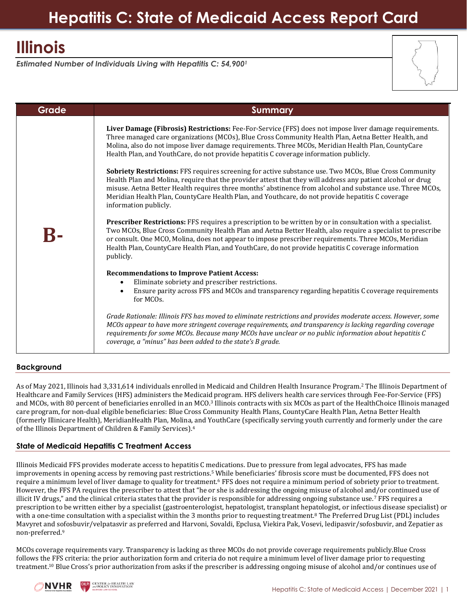# **Illinois**

*Estimated Number of Individuals Living with Hepatitis C: 54,900<sup>1</sup>*

| Grade | <b>Summary</b>                                                                                                                                                                                                                                                                                                                                                                                                                                                                                                                                                                                                                                                                                                                                                                                                                                                                                                                                                                                                                                                                                                                                                                                                                                                                                                                                                                                                                                                                                                                                                                                                                                                                                       |
|-------|------------------------------------------------------------------------------------------------------------------------------------------------------------------------------------------------------------------------------------------------------------------------------------------------------------------------------------------------------------------------------------------------------------------------------------------------------------------------------------------------------------------------------------------------------------------------------------------------------------------------------------------------------------------------------------------------------------------------------------------------------------------------------------------------------------------------------------------------------------------------------------------------------------------------------------------------------------------------------------------------------------------------------------------------------------------------------------------------------------------------------------------------------------------------------------------------------------------------------------------------------------------------------------------------------------------------------------------------------------------------------------------------------------------------------------------------------------------------------------------------------------------------------------------------------------------------------------------------------------------------------------------------------------------------------------------------------|
|       | Liver Damage (Fibrosis) Restrictions: Fee-For-Service (FFS) does not impose liver damage requirements.<br>Three managed care organizations (MCOs), Blue Cross Community Health Plan, Aetna Better Health, and<br>Molina, also do not impose liver damage requirements. Three MCOs, Meridian Health Plan, CountyCare<br>Health Plan, and YouthCare, do not provide hepatitis C coverage information publicly.<br>Sobriety Restrictions: FFS requires screening for active substance use. Two MCOs, Blue Cross Community<br>Health Plan and Molina, require that the provider attest that they will address any patient alcohol or drug<br>misuse. Aetna Better Health requires three months' abstinence from alcohol and substance use. Three MCOs,<br>Meridian Health Plan, CountyCare Health Plan, and Youthcare, do not provide hepatitis C coverage<br>information publicly.<br>Prescriber Restrictions: FFS requires a prescription to be written by or in consultation with a specialist.<br>Two MCOs, Blue Cross Community Health Plan and Aetna Better Health, also require a specialist to prescribe<br>or consult. One MCO, Molina, does not appear to impose prescriber requirements. Three MCOs, Meridian<br>Health Plan, County Care Health Plan, and Youth Care, do not provide hepatitis C coverage information<br>publicly.<br><b>Recommendations to Improve Patient Access:</b><br>Eliminate sobriety and prescriber restrictions.<br>٠<br>Ensure parity across FFS and MCOs and transparency regarding hepatitis C coverage requirements<br>for MCO <sub>s</sub> .<br>Grade Rationale: Illinois FFS has moved to eliminate restrictions and provides moderate access. However, some |
|       | MCOs appear to have more stringent coverage requirements, and transparency is lacking regarding coverage                                                                                                                                                                                                                                                                                                                                                                                                                                                                                                                                                                                                                                                                                                                                                                                                                                                                                                                                                                                                                                                                                                                                                                                                                                                                                                                                                                                                                                                                                                                                                                                             |
|       | requirements for some MCOs. Because many MCOs have unclear or no public information about hepatitis C<br>coverage, a "minus" has been added to the state's B grade.                                                                                                                                                                                                                                                                                                                                                                                                                                                                                                                                                                                                                                                                                                                                                                                                                                                                                                                                                                                                                                                                                                                                                                                                                                                                                                                                                                                                                                                                                                                                  |

# **Background**

As of May 2021, Illinois had 3,331,614 individuals enrolled in Medicaid and Children Health Insurance Program.<sup>2</sup> The Illinois Department of Healthcare and Family Services (HFS) administers the Medicaid program. HFS delivers health care services through Fee-For-Service (FFS) and MCOs, with 80 percent of beneficiaries enrolled in an MCO.<sup>3</sup> Illinois contracts with six MCOs as part of the HealthChoice Illinois managed care program, for non-dual eligible beneficiaries: Blue Cross Community Health Plans, CountyCare Health Plan, Aetna Better Health (formerly Illinicare Health), MeridianHealth Plan, Molina, and YouthCare (specifically serving youth currently and formerly under the care of the Illinois Department of Children & Family Services). 4

# **State of Medicaid Hepatitis C Treatment Access**

Illinois Medicaid FFS provides moderate access to hepatitis C medications. Due to pressure from legal advocates, FFS has made improvements in opening access by removing past restrictions.<sup>5</sup> While beneficiaries' fibrosis score must be documented, FFS does not require a minimum level of liver damage to quality for treatment.<sup>6</sup> FFS does not require a minimum period of sobriety prior to treatment. However, the FFS PA requires the prescriber to attest that "he or she is addressing the ongoing misuse of alcohol and/or continued use of illicit IV drugs," and the clinical criteria states that the provider is responsible for addressing ongoing substance use.7 FFS requires a prescription to be written either by a specialist (gastroenterologist, hepatologist, transplant hepatologist, or infectious disease specialist) or with a one-time consultation with a specialist within the 3 months prior to requesting treatment.<sup>8</sup> The Preferred Drug List (PDL) includes Mavyret and sofosbuvir/velpatasvir as preferred and Harvoni, Sovaldi, Epclusa, Viekira Pak, Vosevi, ledipasvir/sofosbuvir, and Zepatier as non-preferred. 9

MCOs coverage requirements vary. Transparency is lacking as three MCOs do not provide coverage requirements publicly.Blue Cross follows the FFS criteria: the prior authorization form and criteria do not require a minimum level of liver damage prior to requesting treatment.<sup>10</sup> Blue Cross's prior authorization from asks if the prescriber is addressing ongoing misuse of alcohol and/or continues use of

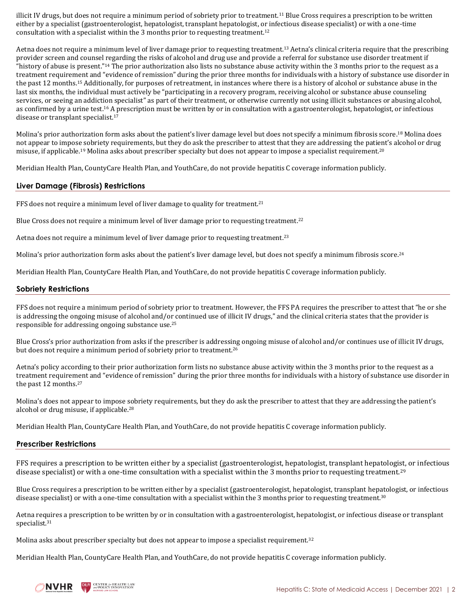illicit IV drugs, but does not require a minimum period of sobriety prior to treatment.<sup>11</sup> Blue Cross requires a prescription to be written either by a specialist (gastroenterologist, hepatologist, transplant hepatologist, or infectious disease specialist) or with a one-time consultation with a specialist within the 3 months prior to requesting treatment. 12

Aetna does not require a minimum level of liver damage prior to requesting treatment.<sup>13</sup> Aetna's clinical criteria require that the prescribing provider screen and counsel regarding the risks of alcohol and drug use and provide a referral for substance use disorder treatment if "history of abuse is present."<sup>14</sup> The prior authorization also lists no substance abuse activity within the 3 months prior to the request as a treatment requirement and "evidence of remission" during the prior three months for individuals with a history of substance use disorder in the past 12 months.<sup>15</sup> Additionally, for purposes of retreatment, in instances where there is a history of alcohol or substance abuse in the last six months, the individual must actively be "participating in a recovery program, receiving alcohol or substance abuse counseling services, or seeing an addiction specialist" as part of their treatment, or otherwise currently not using illicit substances or abusing alcohol, as confirmed by a urine test.<sup>16</sup> A prescription must be written by or in consultation with a gastroenterologist, hepatologist, or infectious disease or transplant specialist.<sup>17</sup>

Molina's prior authorization form asks about the patient's liver damage level but does not specify a minimum fibrosis score.<sup>18</sup> Molina does not appear to impose sobriety requirements, but they do ask the prescriber to attest that they are addressing the patient's alcohol or drug misuse, if applicable.<sup>19</sup> Molina asks about prescriber specialty but does not appear to impose a specialist requirement.<sup>20</sup>

Meridian Health Plan, CountyCare Health Plan, and YouthCare, do not provide hepatitis C coverage information publicly.

## **Liver Damage (Fibrosis) Restrictions**

FFS does not require a minimum level of liver damage to quality for treatment.<sup>21</sup>

Blue Cross does not require a minimum level of liver damage prior to requesting treatment.<sup>22</sup>

Aetna does not require a minimum level of liver damage prior to requesting treatment.<sup>23</sup>

Molina's prior authorization form asks about the patient's liver damage level, but does not specify a minimum fibrosis score.<sup>24</sup>

Meridian Health Plan, CountyCare Health Plan, and YouthCare, do not provide hepatitis C coverage information publicly.

#### **Sobriety Restrictions**

FFS does not require a minimum period of sobriety prior to treatment. However, the FFS PA requires the prescriber to attest that "he or she is addressing the ongoing misuse of alcohol and/or continued use of illicit IV drugs," and the clinical criteria states that the provider is responsible for addressing ongoing substance use.<sup>25</sup>

Blue Cross's prior authorization from asks if the prescriber is addressing ongoing misuse of alcohol and/or continues use of illicit IV drugs, but does not require a minimum period of sobriety prior to treatment.<sup>26</sup>

Aetna's policy according to their prior authorization form lists no substance abuse activity within the 3 months prior to the request as a treatment requirement and "evidence of remission" during the prior three months for individuals with a history of substance use disorder in the past 12 months.<sup>27</sup>

Molina's does not appear to impose sobriety requirements, but they do ask the prescriber to attest that they are addressing the patient's alcohol or drug misuse, if applicable.<sup>28</sup>

Meridian Health Plan, CountyCare Health Plan, and YouthCare, do not provide hepatitis C coverage information publicly.

## **Prescriber Restrictions**

FFS requires a prescription to be written either by a specialist (gastroenterologist, hepatologist, transplant hepatologist, or infectious disease specialist) or with a one-time consultation with a specialist within the 3 months prior to requesting treatment.<sup>29</sup>

Blue Cross requires a prescription to be written either by a specialist (gastroenterologist, hepatologist, transplant hepatologist, or infectious disease specialist) or with a one-time consultation with a specialist within the 3 months prior to requesting treatment.<sup>30</sup>

Aetna requires a prescription to be written by or in consultation with a gastroenterologist, hepatologist, or infectious disease or transplant specialist.<sup>31</sup>

Molina asks about prescriber specialty but does not appear to impose a specialist requirement.<sup>32</sup>

Meridian Health Plan, CountyCare Health Plan, and YouthCare, do not provide hepatitis C coverage information publicly.